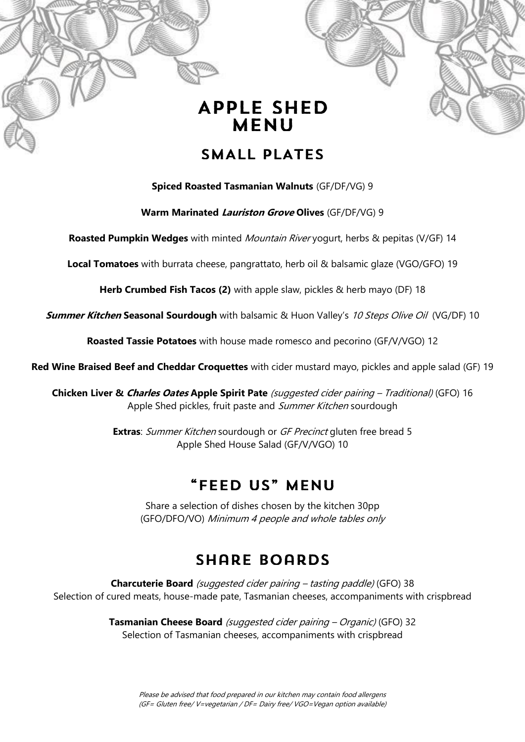

#### SMALL PLATES

**Spiced Roasted Tasmanian Walnuts** (GF/DF/VG) 9

**Warm Marinated Lauriston Grove Olives** (GF/DF/VG) 9

**Roasted Pumpkin Wedges** with minted Mountain River yogurt, herbs & pepitas (V/GF) 14

**Local Tomatoes** with burrata cheese, pangrattato, herb oil & balsamic glaze (VGO/GFO) 19

**Herb Crumbed Fish Tacos (2)** with apple slaw, pickles & herb mayo (DF) 18

**Summer Kitchen Seasonal Sourdough** with balsamic & Huon Valley's 10 Steps Olive Oil (VG/DF) 10

**Roasted Tassie Potatoes** with house made romesco and pecorino (GF/V/VGO) 12

**Red Wine Braised Beef and Cheddar Croquettes** with cider mustard mayo, pickles and apple salad (GF) 19

**Chicken Liver & Charles Oates Apple Spirit Pate** (suggested cider pairing – Traditional) (GFO) 16 Apple Shed pickles, fruit paste and Summer Kitchen sourdough

> **Extras:** Summer Kitchen sourdough or GF Precinct gluten free bread 5 Apple Shed House Salad (GF/V/VGO) 10

#### "FEED US" MENU

Share a selection of dishes chosen by the kitchen 30pp (GFO/DFO/VO) Minimum 4 people and whole tables only

## **SHARE BOARDS**

**Charcuterie Board** (suggested cider pairing – tasting paddle) (GFO) 38 Selection of cured meats, house-made pate, Tasmanian cheeses, accompaniments with crispbread

> **Tasmanian Cheese Board** (suggested cider pairing – Organic) (GFO) 32 Selection of Tasmanian cheeses, accompaniments with crispbread